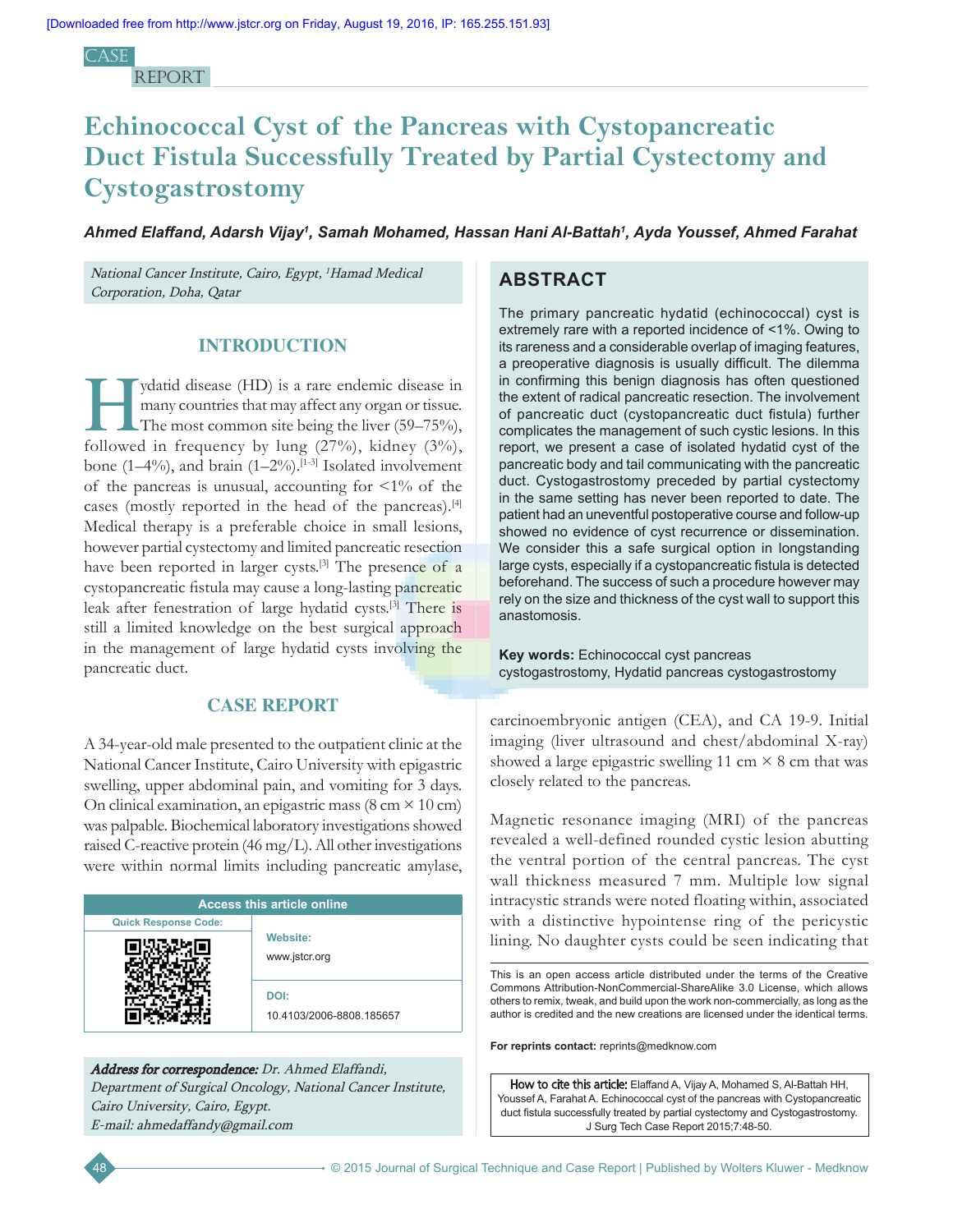Case **REPORT** 

# **Echinococcal Cyst of the Pancreas with Cystopancreatic Duct Fistula Successfully Treated by Partial Cystectomy and Cystogastrostomy**

*Ahmed Elaffand, Adarsh Vijay1 , Samah Mohamed, Hassan Hani Al-Battah1 , Ayda Youssef, Ahmed Farahat*

National Cancer Institute, Cairo, Egypt, <sup>1</sup>Hamad Medical Corporation, Doha, Qatar

# **INTRODUCTION**

ydatid disease (HD) is a rare endemic disease in<br>
many countries that may affect any organ or tissue.<br>
The most common site being the liver (59–75%),<br>
followed in fractuorum by lines (27%), kidney (2%). many countries that may affect any organ or tissue. followed in frequency by lung  $(27\%)$ , kidney  $(3\%)$ , bone (1–4%), and brain (1–2%).<sup>[1-3]</sup> Isolated involvement of the pancreas is unusual, accounting for  $\leq 1\%$  of the cases (mostly reported in the head of the pancreas).[4] Medical therapy is a preferable choice in small lesions, however partial cystectomy and limited pancreatic resection have been reported in larger cysts.<sup>[3]</sup> The presence of a cystopancreatic fistula may cause a long‑lasting pancreatic leak after fenestration of large hydatid cysts.[3] There is still a limited knowledge on the best surgical approach in the management of large hydatid cysts involving the pancreatic duct.

## **CASE REPORT**

A 34-year-old male presented to the outpatient clinic at the National Cancer Institute, Cairo University with epigastric swelling, upper abdominal pain, and vomiting for 3 days. On clinical examination, an epigastric mass (8 cm  $\times$  10 cm) was palpable. Biochemical laboratory investigations showed raised C-reactive protein (46 mg/L). All other investigations were within normal limits including pancreatic amylase,

| <b>Access this article online</b> |                                  |
|-----------------------------------|----------------------------------|
| <b>Quick Response Code:</b>       |                                  |
|                                   | <b>Website:</b><br>www.jstcr.org |
|                                   | DOI:<br>10.4103/2006-8808.185657 |

Address for correspondence: Dr. Ahmed Elaffandi, Department of Surgical Oncology, National Cancer Institute, Cairo University, Cairo, Egypt. E‑mail: ahmedaffandy@gmail.com

# **ABSTRACT**

The primary pancreatic hydatid (echinococcal) cyst is extremely rare with a reported incidence of <1%. Owing to its rareness and a considerable overlap of imaging features, a preoperative diagnosis is usually difficult. The dilemma in confirming this benign diagnosis has often questioned the extent of radical pancreatic resection. The involvement of pancreatic duct (cystopancreatic duct fistula) further complicates the management of such cystic lesions. In this report, we present a case of isolated hydatid cyst of the pancreatic body and tail communicating with the pancreatic duct. Cystogastrostomy preceded by partial cystectomy in the same setting has never been reported to date. The patient had an uneventful postoperative course and follow-up showed no evidence of cyst recurrence or dissemination. We consider this a safe surgical option in longstanding large cysts, especially if a cystopancreatic fistula is detected beforehand. The success of such a procedure however may rely on the size and thickness of the cyst wall to support this anastomosis.

**Key words:** Echinococcal cyst pancreas cystogastrostomy, Hydatid pancreas cystogastrostomy

carcinoembryonic antigen (CEA), and CA 19-9. Initial imaging (liver ultrasound and chest/abdominal X-ray) showed a large epigastric swelling 11 cm  $\times$  8 cm that was closely related to the pancreas.

Magnetic resonance imaging (MRI) of the pancreas revealed a well-defined rounded cystic lesion abutting the ventral portion of the central pancreas. The cyst wall thickness measured 7 mm. Multiple low signal intracystic strands were noted floating within, associated with a distinctive hypointense ring of the pericystic lining. No daughter cysts could be seen indicating that

This is an open access article distributed under the terms of the Creative Commons Attribution-NonCommercial-ShareAlike 3.0 License, which allows others to remix, tweak, and build upon the work non-commercially, as long as the author is credited and the new creations are licensed under the identical terms.

**For reprints contact:** reprints@medknow.com

How to cite this article: Elaffand A, Vijay A, Mohamed S, Al-Battah HH, Youssef A, Farahat A. Echinococcal cyst of the pancreas with Cystopancreatic duct fistula successfully treated by partial cystectomy and Cystogastrostomy. J Surg Tech Case Report 2015;7:48-50.

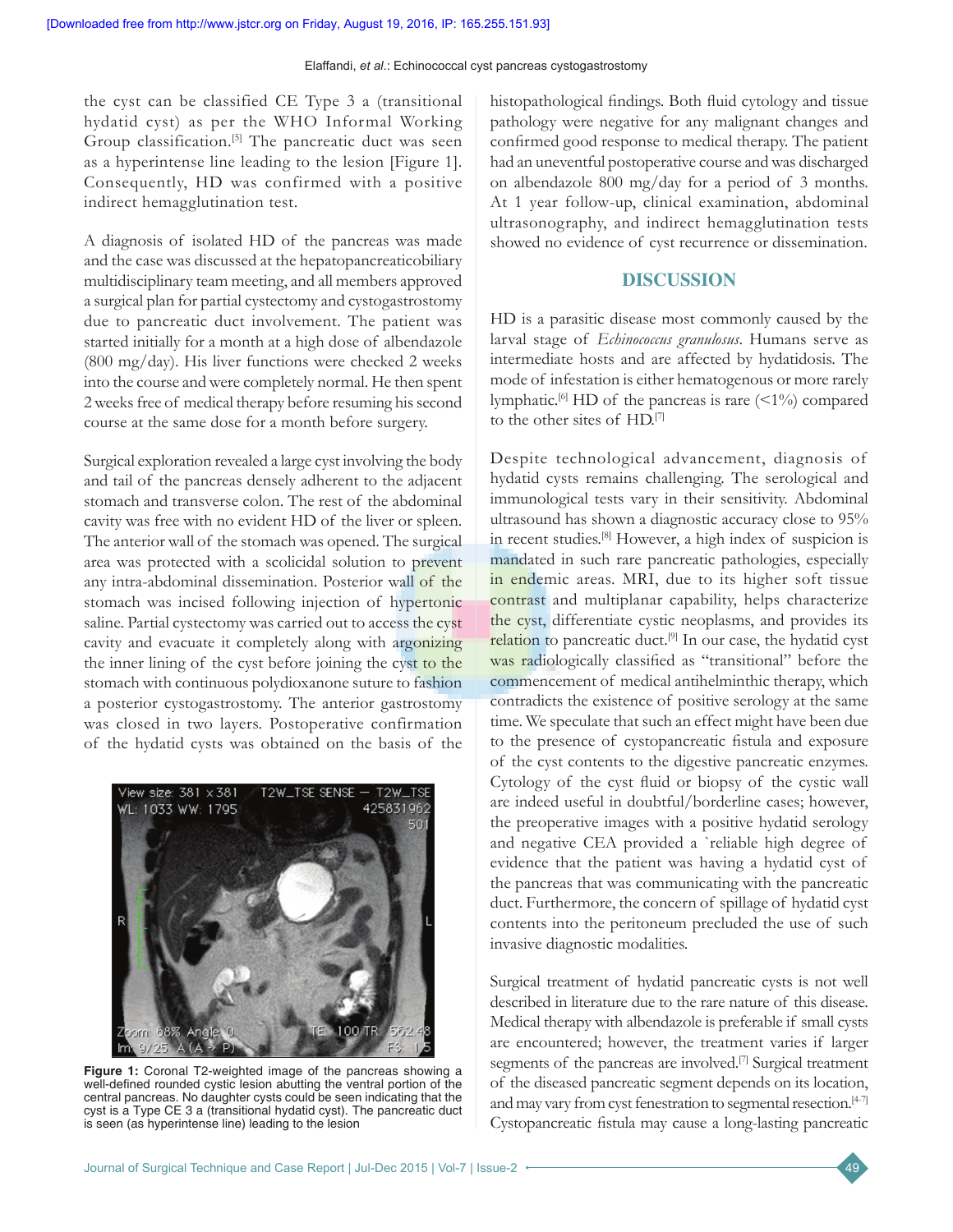the cyst can be classified CE Type 3 a (transitional hydatid cyst) as per the WHO Informal Working Group classification.<sup>[5]</sup> The pancreatic duct was seen as a hyperintense line leading to the lesion [Figure 1]. Consequently, HD was confirmed with a positive indirect hemagglutination test.

A diagnosis of isolated HD of the pancreas was made and the case was discussed at the hepatopancreaticobiliary multidisciplinary team meeting, and all members approved a surgical plan for partial cystectomy and cystogastrostomy due to pancreatic duct involvement. The patient was started initially for a month at a high dose of albendazole (800 mg/day). His liver functions were checked 2 weeks into the course and were completely normal. He then spent 2 weeks free of medical therapy before resuming his second course at the same dose for a month before surgery.

Surgical exploration revealed a large cyst involving the body and tail of the pancreas densely adherent to the adjacent stomach and transverse colon. The rest of the abdominal cavity was free with no evident HD of the liver or spleen. The anterior wall of the stomach was opened. The surgical area was protected with a scolicidal solution to prevent any intra-abdominal dissemination. Posterior wall of the stomach was incised following injection of hypertonic saline. Partial cystectomy was carried out to access the cyst cavity and evacuate it completely along with argonizing the inner lining of the cyst before joining the cyst to the stomach with continuous polydioxanone suture to fashion a posterior cystogastrostomy. The anterior gastrostomy was closed in two layers. Postoperative confirmation of the hydatid cysts was obtained on the basis of the



**Figure 1:** Coronal T2-weighted image of the pancreas showing a well-defined rounded cystic lesion abutting the ventral portion of the central pancreas. No daughter cysts could be seen indicating that the cyst is a Type CE 3 a (transitional hydatid cyst). The pancreatic duct is seen (as hyperintense line) leading to the lesion

histopathological findings. Both fluid cytology and tissue pathology were negative for any malignant changes and confirmed good response to medical therapy. The patient had an uneventful postoperative course and was discharged on albendazole 800 mg/day for a period of 3 months. At 1 year follow-up, clinical examination, abdominal ultrasonography, and indirect hemagglutination tests showed no evidence of cyst recurrence or dissemination.

## **DISCUSSION**

HD is a parasitic disease most commonly caused by the larval stage of *Echinococcus granulosus*. Humans serve as intermediate hosts and are affected by hydatidosis. The mode of infestation is either hematogenous or more rarely lymphatic.<sup>[6]</sup> HD of the pancreas is rare  $($ to the other sites of HD.[7]

Despite technological advancement, diagnosis of hydatid cysts remains challenging. The serological and immunological tests vary in their sensitivity. Abdominal ultrasound has shown a diagnostic accuracy close to 95% in recent studies.[8] However, a high index of suspicion is mandated in such rare pancreatic pathologies, especially in endemic areas. MRI, due to its higher soft tissue contrast and multiplanar capability, helps characterize the cyst, differentiate cystic neoplasms, and provides its relation to pancreatic duct.<sup>[9]</sup> In our case, the hydatid cyst was radiologically classified as "transitional" before the commencement of medical antihelminthic therapy, which contradicts the existence of positive serology at the same time. We speculate that such an effect might have been due to the presence of cystopancreatic fistula and exposure of the cyst contents to the digestive pancreatic enzymes. Cytology of the cyst fluid or biopsy of the cystic wall are indeed useful in doubtful/borderline cases; however, the preoperative images with a positive hydatid serology and negative CEA provided a `reliable high degree of evidence that the patient was having a hydatid cyst of the pancreas that was communicating with the pancreatic duct. Furthermore, the concern of spillage of hydatid cyst contents into the peritoneum precluded the use of such invasive diagnostic modalities.

Surgical treatment of hydatid pancreatic cysts is not well described in literature due to the rare nature of this disease. Medical therapy with albendazole is preferable if small cysts are encountered; however, the treatment varies if larger segments of the pancreas are involved.<sup>[7]</sup> Surgical treatment of the diseased pancreatic segment depends on its location, and may vary from cyst fenestration to segmental resection.<sup>[4-7]</sup> Cystopancreatic fistula may cause a long‑lasting pancreatic